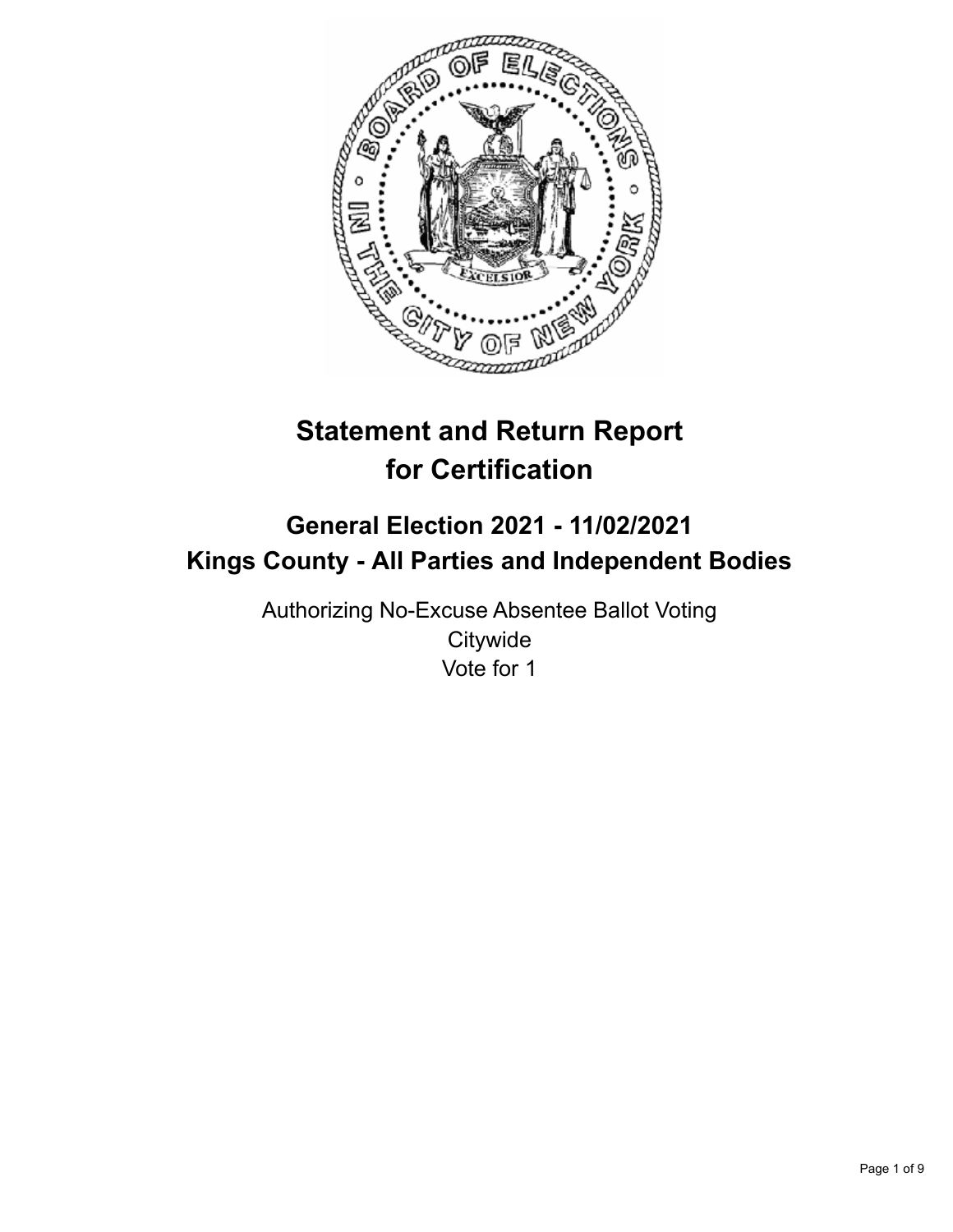

# **Statement and Return Report for Certification**

## **General Election 2021 - 11/02/2021 Kings County - All Parties and Independent Bodies**

Authorizing No-Excuse Absentee Ballot Voting **Citywide** Vote for 1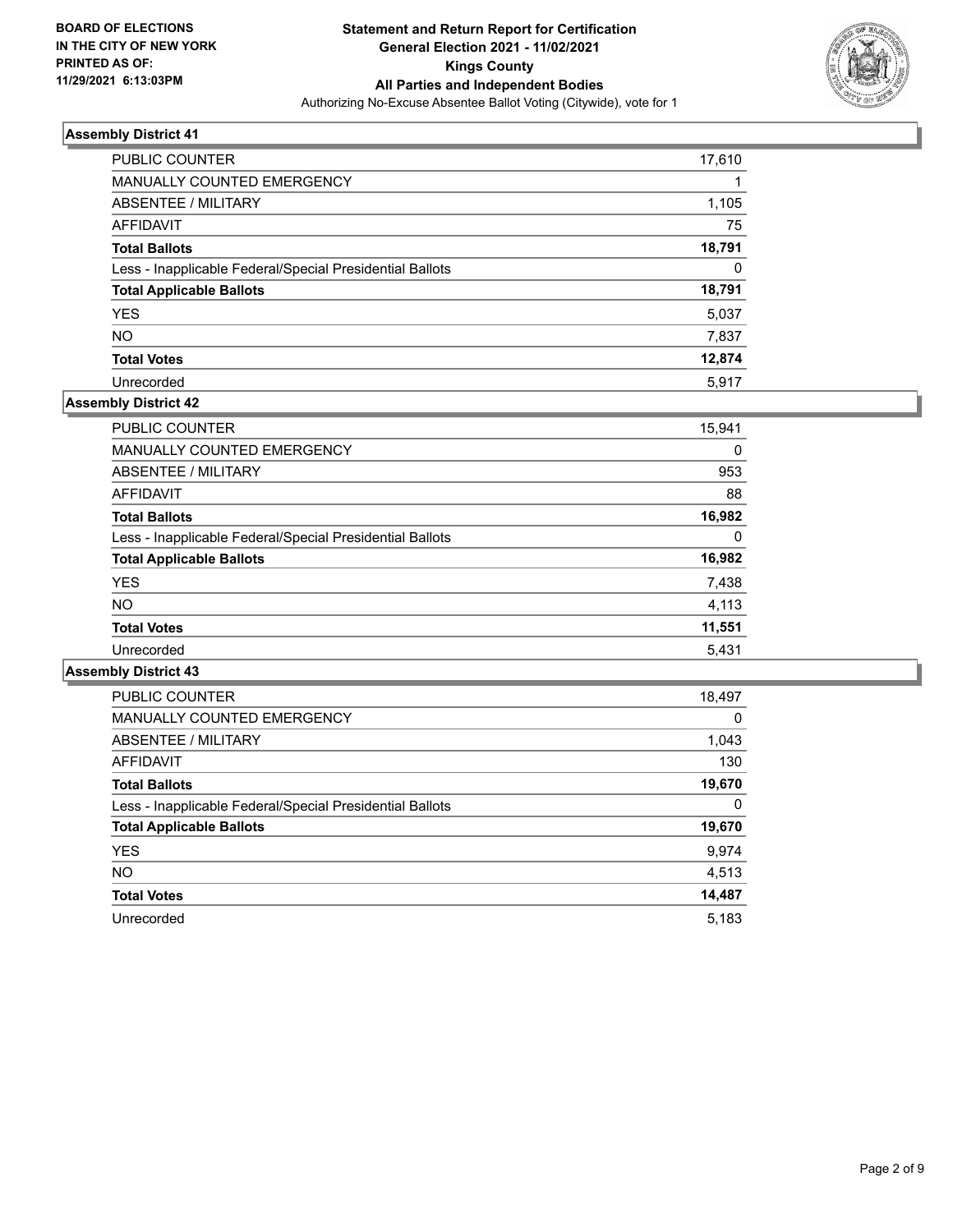

| PUBLIC COUNTER                                           | 17,610 |
|----------------------------------------------------------|--------|
| <b>MANUALLY COUNTED EMERGENCY</b>                        |        |
| ABSENTEE / MILITARY                                      | 1,105  |
| AFFIDAVIT                                                | 75     |
| <b>Total Ballots</b>                                     | 18,791 |
| Less - Inapplicable Federal/Special Presidential Ballots | 0      |
| <b>Total Applicable Ballots</b>                          | 18,791 |
| <b>YES</b>                                               | 5,037  |
| <b>NO</b>                                                | 7,837  |
| <b>Total Votes</b>                                       | 12,874 |
| Unrecorded                                               | 5.917  |

#### **Assembly District 42**

| <b>PUBLIC COUNTER</b>                                    | 15,941 |
|----------------------------------------------------------|--------|
| <b>MANUALLY COUNTED EMERGENCY</b>                        | 0      |
| ABSENTEE / MILITARY                                      | 953    |
| AFFIDAVIT                                                | 88     |
| <b>Total Ballots</b>                                     | 16,982 |
| Less - Inapplicable Federal/Special Presidential Ballots | 0      |
| <b>Total Applicable Ballots</b>                          | 16,982 |
| <b>YES</b>                                               | 7,438  |
| <b>NO</b>                                                | 4.113  |
| <b>Total Votes</b>                                       | 11,551 |
| Unrecorded                                               | 5,431  |

| <b>PUBLIC COUNTER</b>                                    | 18,497   |
|----------------------------------------------------------|----------|
| <b>MANUALLY COUNTED EMERGENCY</b>                        | $\Omega$ |
| ABSENTEE / MILITARY                                      | 1,043    |
| <b>AFFIDAVIT</b>                                         | 130      |
| <b>Total Ballots</b>                                     | 19,670   |
| Less - Inapplicable Federal/Special Presidential Ballots | 0        |
| <b>Total Applicable Ballots</b>                          | 19,670   |
| <b>YES</b>                                               | 9,974    |
| NO.                                                      | 4,513    |
| <b>Total Votes</b>                                       | 14,487   |
| Unrecorded                                               | 5.183    |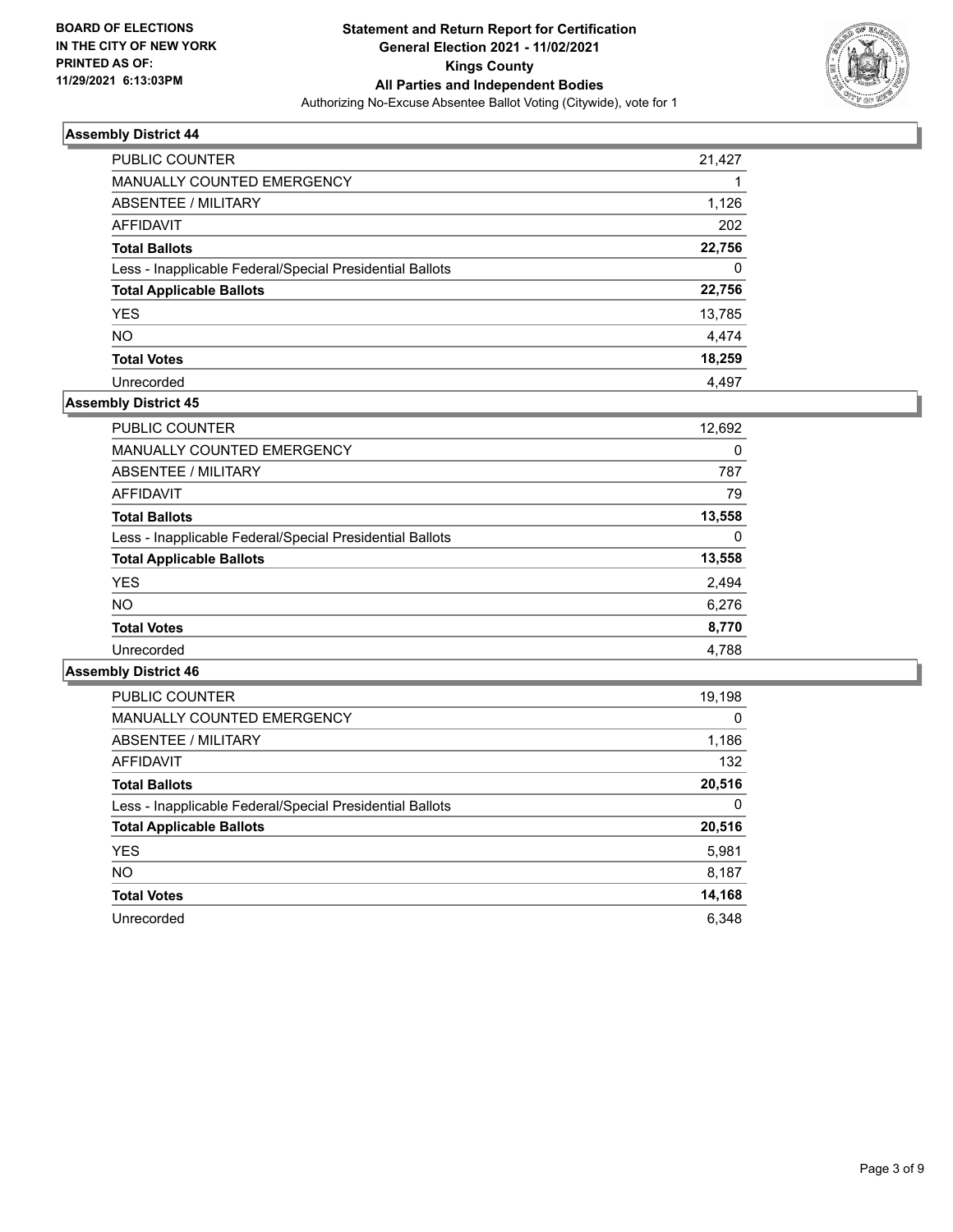

| PUBLIC COUNTER                                           | 21,427 |
|----------------------------------------------------------|--------|
| <b>MANUALLY COUNTED EMERGENCY</b>                        |        |
| ABSENTEE / MILITARY                                      | 1,126  |
| AFFIDAVIT                                                | 202    |
| <b>Total Ballots</b>                                     | 22,756 |
| Less - Inapplicable Federal/Special Presidential Ballots | 0      |
| <b>Total Applicable Ballots</b>                          | 22,756 |
| <b>YES</b>                                               | 13,785 |
| <b>NO</b>                                                | 4,474  |
| <b>Total Votes</b>                                       | 18,259 |
| Unrecorded                                               | 4.497  |

## **Assembly District 45**

| <b>PUBLIC COUNTER</b>                                    | 12,692 |
|----------------------------------------------------------|--------|
| <b>MANUALLY COUNTED EMERGENCY</b>                        | 0      |
| ABSENTEE / MILITARY                                      | 787    |
| AFFIDAVIT                                                | 79     |
| <b>Total Ballots</b>                                     | 13,558 |
| Less - Inapplicable Federal/Special Presidential Ballots | 0      |
| <b>Total Applicable Ballots</b>                          | 13,558 |
| <b>YES</b>                                               | 2,494  |
| <b>NO</b>                                                | 6,276  |
| <b>Total Votes</b>                                       | 8,770  |
| Unrecorded                                               | 4,788  |
|                                                          |        |

| <b>PUBLIC COUNTER</b>                                    | 19,198   |
|----------------------------------------------------------|----------|
| <b>MANUALLY COUNTED EMERGENCY</b>                        | $\Omega$ |
| ABSENTEE / MILITARY                                      | 1,186    |
| <b>AFFIDAVIT</b>                                         | 132      |
| <b>Total Ballots</b>                                     | 20,516   |
| Less - Inapplicable Federal/Special Presidential Ballots | $\Omega$ |
| <b>Total Applicable Ballots</b>                          | 20,516   |
| <b>YES</b>                                               | 5,981    |
| NO.                                                      | 8,187    |
| <b>Total Votes</b>                                       | 14,168   |
| Unrecorded                                               | 6.348    |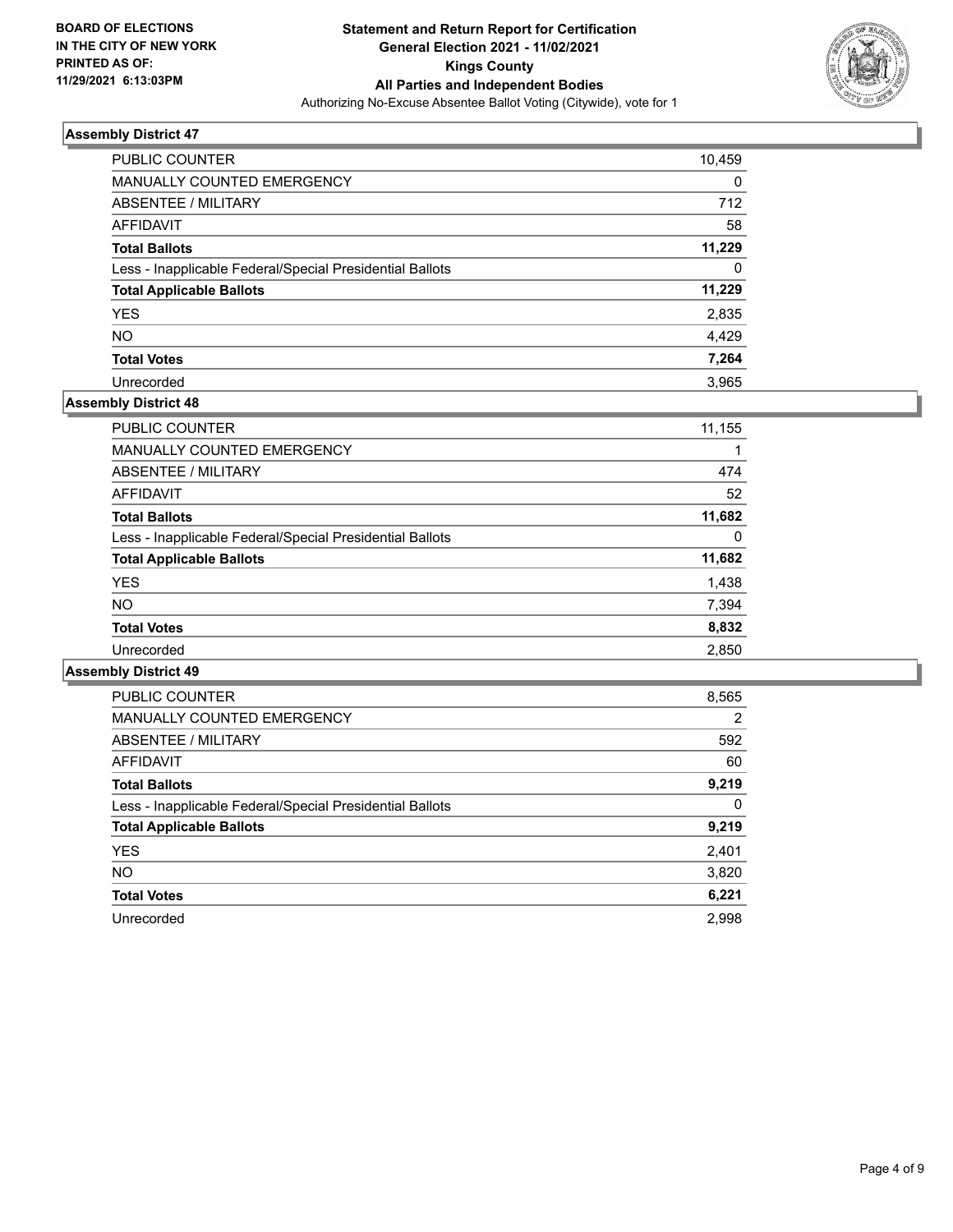

| PUBLIC COUNTER                                           | 10,459   |
|----------------------------------------------------------|----------|
| <b>MANUALLY COUNTED EMERGENCY</b>                        | 0        |
| <b>ABSENTEE / MILITARY</b>                               | 712      |
| AFFIDAVIT                                                | 58       |
| <b>Total Ballots</b>                                     | 11,229   |
| Less - Inapplicable Federal/Special Presidential Ballots | $\Omega$ |
| <b>Total Applicable Ballots</b>                          | 11,229   |
| <b>YES</b>                                               | 2,835    |
| <b>NO</b>                                                | 4.429    |
| <b>Total Votes</b>                                       | 7,264    |
| Unrecorded                                               | 3.965    |

## **Assembly District 48**

| <b>PUBLIC COUNTER</b>                                    | 11,155   |
|----------------------------------------------------------|----------|
| <b>MANUALLY COUNTED EMERGENCY</b>                        |          |
| ABSENTEE / MILITARY                                      | 474      |
| AFFIDAVIT                                                | 52       |
| <b>Total Ballots</b>                                     | 11,682   |
| Less - Inapplicable Federal/Special Presidential Ballots | $\Omega$ |
| <b>Total Applicable Ballots</b>                          | 11,682   |
| <b>YES</b>                                               | 1,438    |
| <b>NO</b>                                                | 7,394    |
| <b>Total Votes</b>                                       | 8,832    |
| Unrecorded                                               | 2,850    |

| PUBLIC COUNTER                                           | 8,565          |
|----------------------------------------------------------|----------------|
| <b>MANUALLY COUNTED EMERGENCY</b>                        | $\overline{2}$ |
| ABSENTEE / MILITARY                                      | 592            |
| <b>AFFIDAVIT</b>                                         | 60             |
| <b>Total Ballots</b>                                     | 9,219          |
| Less - Inapplicable Federal/Special Presidential Ballots | $\Omega$       |
| <b>Total Applicable Ballots</b>                          | 9,219          |
| <b>YES</b>                                               | 2,401          |
| NO.                                                      | 3,820          |
| <b>Total Votes</b>                                       | 6,221          |
| Unrecorded                                               | 2.998          |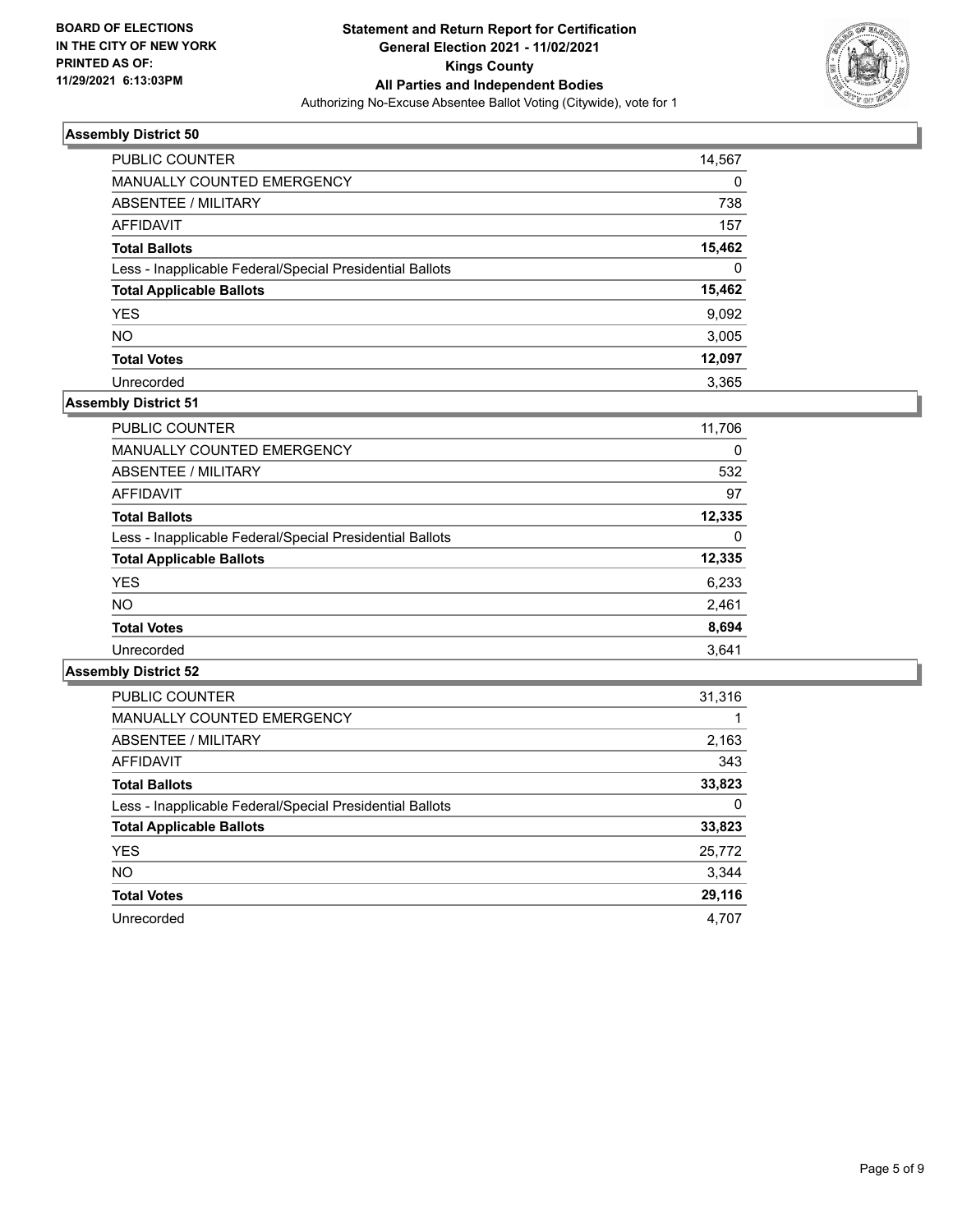

| PUBLIC COUNTER                                           | 14,567   |
|----------------------------------------------------------|----------|
| MANUALLY COUNTED EMERGENCY                               | 0        |
| ABSENTEE / MILITARY                                      | 738      |
| AFFIDAVIT                                                | 157      |
| <b>Total Ballots</b>                                     | 15,462   |
| Less - Inapplicable Federal/Special Presidential Ballots | $\Omega$ |
| <b>Total Applicable Ballots</b>                          | 15,462   |
| <b>YES</b>                                               | 9,092    |
| <b>NO</b>                                                | 3,005    |
| <b>Total Votes</b>                                       | 12,097   |
| Unrecorded                                               | 3.365    |

## **Assembly District 51**

| <b>PUBLIC COUNTER</b>                                    | 11,706 |
|----------------------------------------------------------|--------|
| <b>MANUALLY COUNTED EMERGENCY</b>                        | 0      |
| ABSENTEE / MILITARY                                      | 532    |
| AFFIDAVIT                                                | 97     |
| <b>Total Ballots</b>                                     | 12,335 |
| Less - Inapplicable Federal/Special Presidential Ballots | 0      |
| <b>Total Applicable Ballots</b>                          | 12,335 |
| <b>YES</b>                                               | 6,233  |
| <b>NO</b>                                                | 2,461  |
| <b>Total Votes</b>                                       | 8,694  |
| Unrecorded                                               | 3.641  |

| <b>PUBLIC COUNTER</b>                                    | 31,316 |
|----------------------------------------------------------|--------|
| <b>MANUALLY COUNTED EMERGENCY</b>                        |        |
| ABSENTEE / MILITARY                                      | 2,163  |
| AFFIDAVIT                                                | 343    |
| <b>Total Ballots</b>                                     | 33,823 |
| Less - Inapplicable Federal/Special Presidential Ballots | 0      |
| <b>Total Applicable Ballots</b>                          | 33,823 |
| <b>YES</b>                                               | 25,772 |
| <b>NO</b>                                                | 3,344  |
| <b>Total Votes</b>                                       | 29,116 |
| Unrecorded                                               | 4.707  |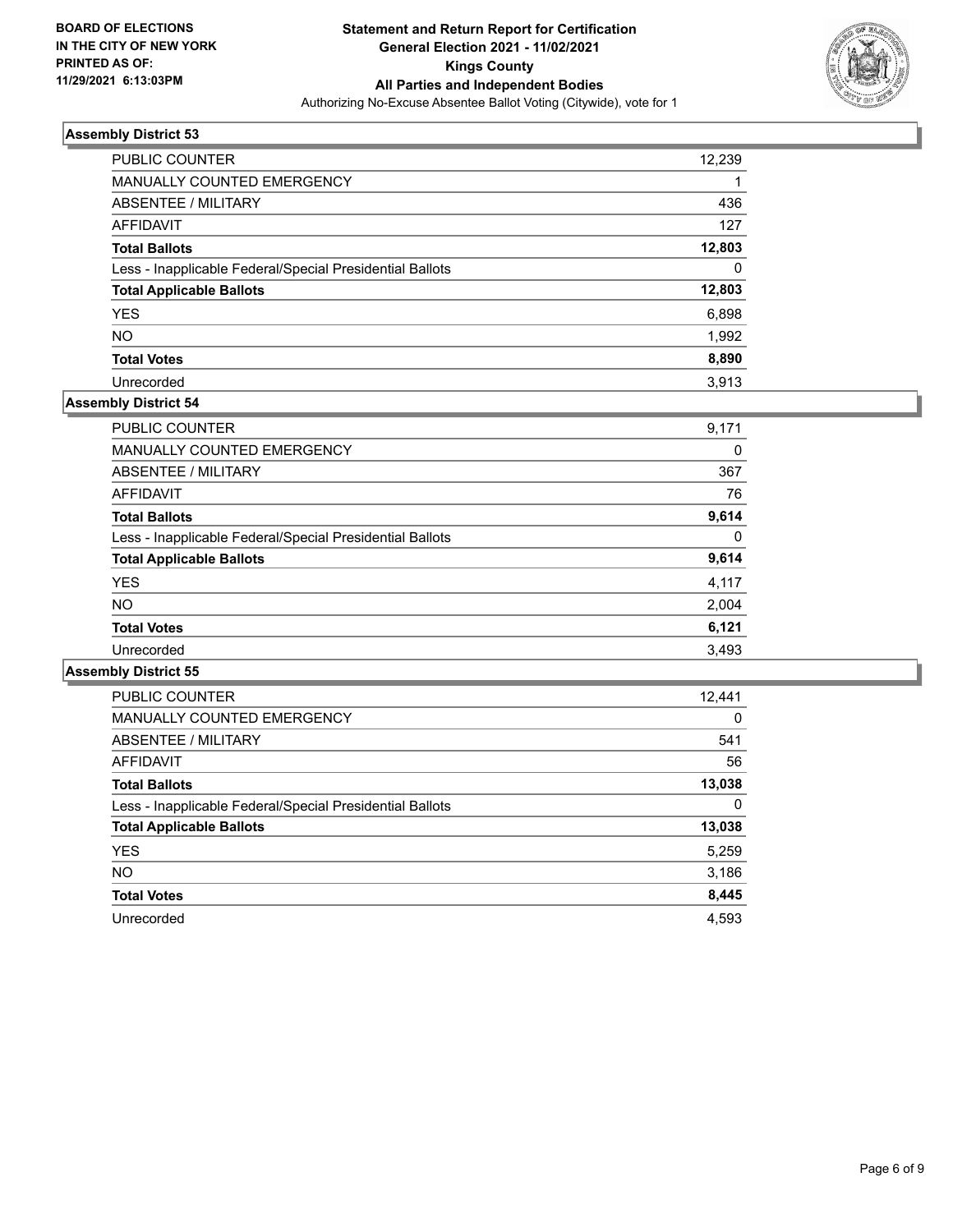

| PUBLIC COUNTER                                           | 12,239   |
|----------------------------------------------------------|----------|
| <b>MANUALLY COUNTED EMERGENCY</b>                        |          |
| ABSENTEE / MILITARY                                      | 436      |
| AFFIDAVIT                                                | 127      |
| <b>Total Ballots</b>                                     | 12,803   |
| Less - Inapplicable Federal/Special Presidential Ballots | $\Omega$ |
| <b>Total Applicable Ballots</b>                          | 12,803   |
| <b>YES</b>                                               | 6,898    |
| <b>NO</b>                                                | 1,992    |
| <b>Total Votes</b>                                       | 8,890    |
| Unrecorded                                               | 3.913    |

## **Assembly District 54**

| <b>PUBLIC COUNTER</b>                                    | 9,171 |
|----------------------------------------------------------|-------|
| <b>MANUALLY COUNTED EMERGENCY</b>                        | 0     |
| ABSENTEE / MILITARY                                      | 367   |
| <b>AFFIDAVIT</b>                                         | 76    |
| <b>Total Ballots</b>                                     | 9,614 |
| Less - Inapplicable Federal/Special Presidential Ballots | 0     |
| <b>Total Applicable Ballots</b>                          | 9,614 |
| <b>YES</b>                                               | 4,117 |
| NO.                                                      | 2,004 |
| <b>Total Votes</b>                                       | 6,121 |
| Unrecorded                                               | 3,493 |

| <b>PUBLIC COUNTER</b>                                    | 12,441   |
|----------------------------------------------------------|----------|
| <b>MANUALLY COUNTED EMERGENCY</b>                        | $\Omega$ |
| ABSENTEE / MILITARY                                      | 541      |
| <b>AFFIDAVIT</b>                                         | 56       |
| <b>Total Ballots</b>                                     | 13,038   |
| Less - Inapplicable Federal/Special Presidential Ballots | 0        |
| <b>Total Applicable Ballots</b>                          | 13,038   |
| <b>YES</b>                                               | 5,259    |
| NO.                                                      | 3,186    |
| <b>Total Votes</b>                                       | 8,445    |
| Unrecorded                                               | 4.593    |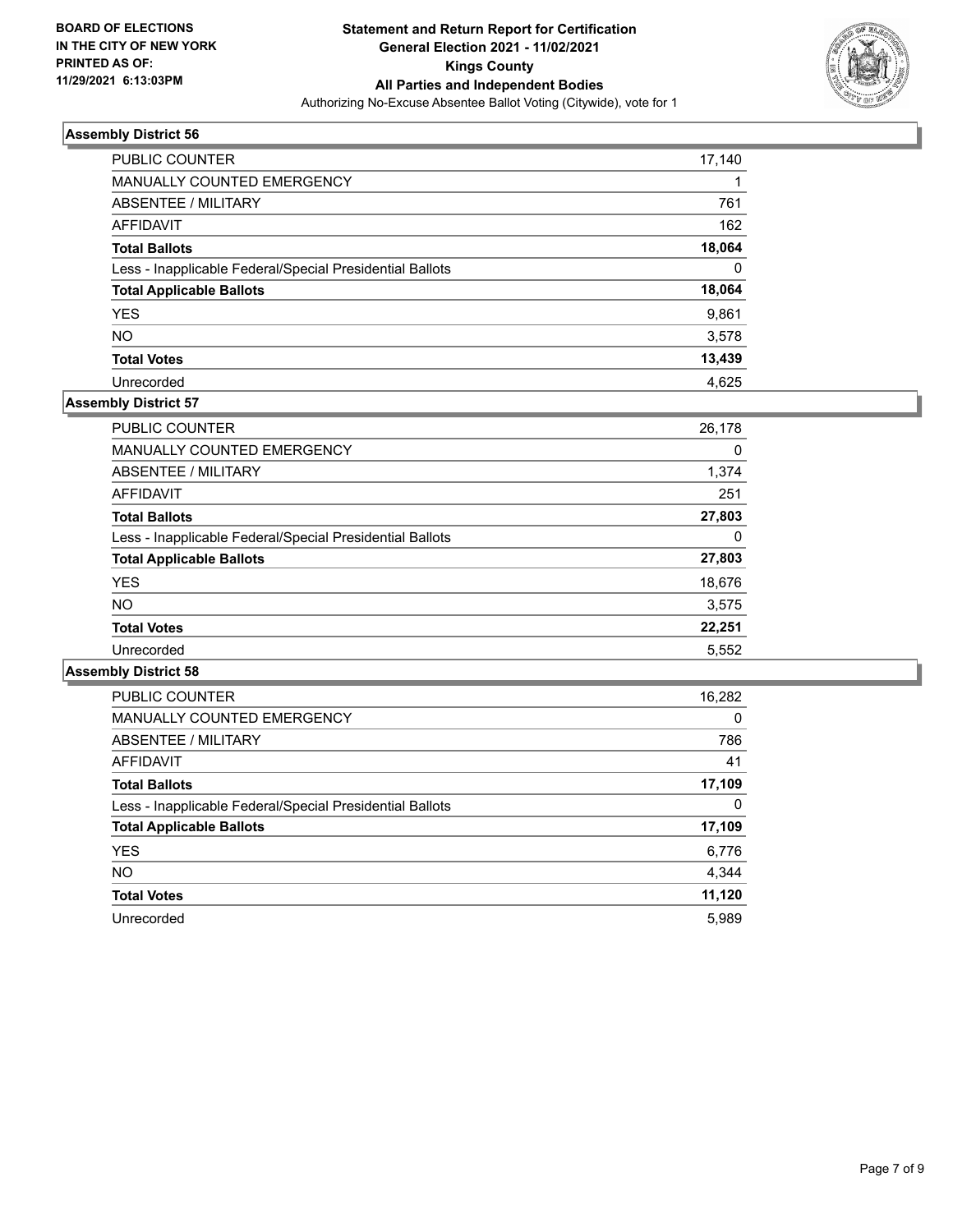

| <b>PUBLIC COUNTER</b>                                    | 17,140   |
|----------------------------------------------------------|----------|
| <b>MANUALLY COUNTED EMERGENCY</b>                        |          |
| ABSENTEE / MILITARY                                      | 761      |
| AFFIDAVIT                                                | 162      |
| <b>Total Ballots</b>                                     | 18,064   |
| Less - Inapplicable Federal/Special Presidential Ballots | $\Omega$ |
| <b>Total Applicable Ballots</b>                          | 18,064   |
| <b>YES</b>                                               | 9,861    |
| <b>NO</b>                                                | 3,578    |
| <b>Total Votes</b>                                       | 13,439   |
| Unrecorded                                               | 4.625    |

## **Assembly District 57**

| <b>PUBLIC COUNTER</b>                                    | 26,178 |
|----------------------------------------------------------|--------|
| MANUALLY COUNTED EMERGENCY                               | 0      |
| ABSENTEE / MILITARY                                      | 1,374  |
| AFFIDAVIT                                                | 251    |
| <b>Total Ballots</b>                                     | 27,803 |
| Less - Inapplicable Federal/Special Presidential Ballots | 0      |
| <b>Total Applicable Ballots</b>                          | 27,803 |
| <b>YES</b>                                               | 18,676 |
| <b>NO</b>                                                | 3,575  |
| <b>Total Votes</b>                                       | 22,251 |
| Unrecorded                                               | 5,552  |

| <b>PUBLIC COUNTER</b>                                    | 16,282   |
|----------------------------------------------------------|----------|
| <b>MANUALLY COUNTED EMERGENCY</b>                        | $\Omega$ |
| ABSENTEE / MILITARY                                      | 786      |
| <b>AFFIDAVIT</b>                                         | 41       |
| <b>Total Ballots</b>                                     | 17,109   |
| Less - Inapplicable Federal/Special Presidential Ballots | 0        |
| <b>Total Applicable Ballots</b>                          | 17,109   |
| <b>YES</b>                                               | 6,776    |
| <b>NO</b>                                                | 4,344    |
| <b>Total Votes</b>                                       | 11,120   |
| Unrecorded                                               | 5.989    |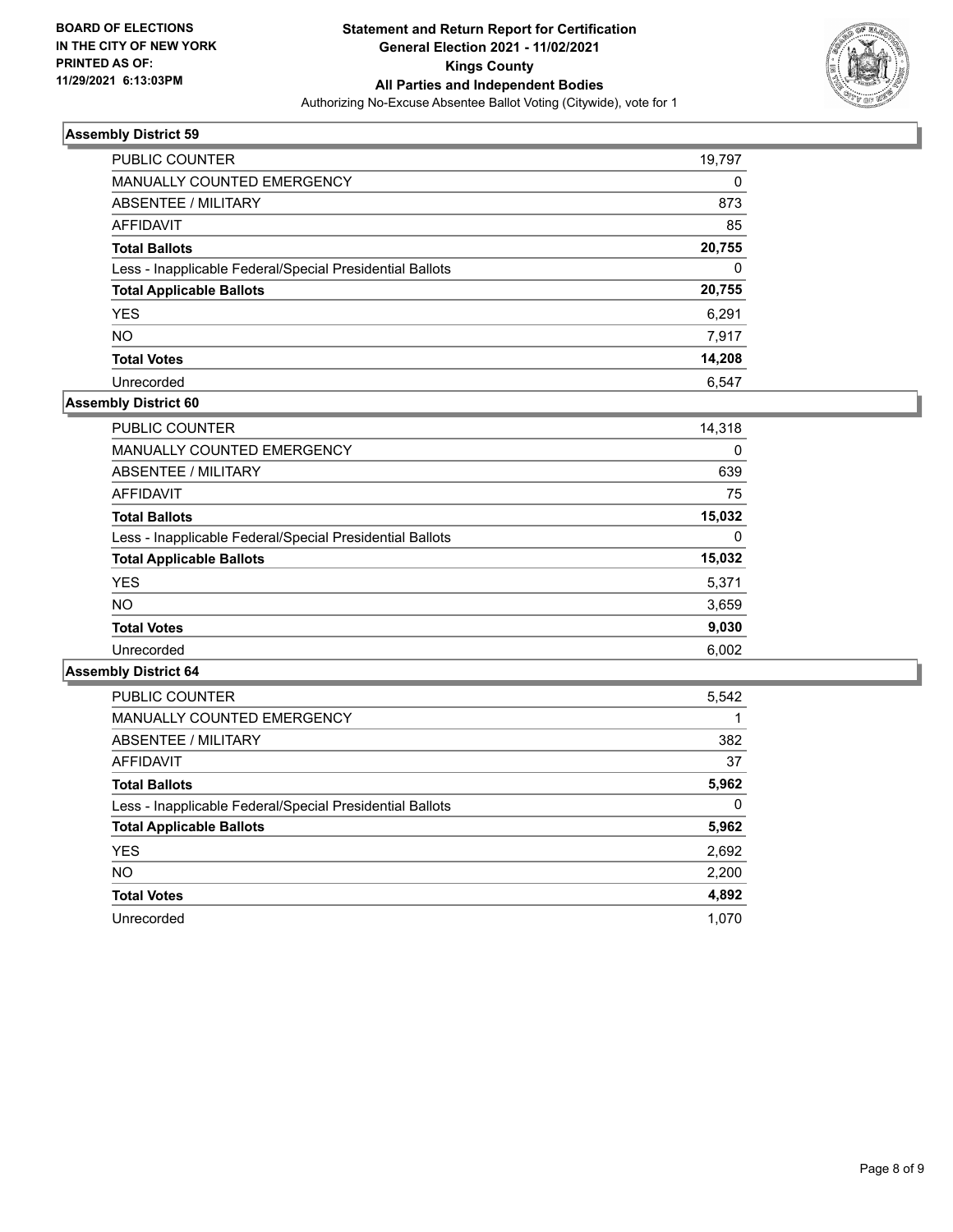

| PUBLIC COUNTER                                           | 19,797   |
|----------------------------------------------------------|----------|
| <b>MANUALLY COUNTED EMERGENCY</b>                        | 0        |
| ABSENTEE / MILITARY                                      | 873      |
| AFFIDAVIT                                                | 85       |
| <b>Total Ballots</b>                                     | 20,755   |
| Less - Inapplicable Federal/Special Presidential Ballots | $\Omega$ |
| <b>Total Applicable Ballots</b>                          | 20,755   |
| <b>YES</b>                                               | 6.291    |
| <b>NO</b>                                                | 7,917    |
| <b>Total Votes</b>                                       | 14,208   |
| Unrecorded                                               | 6.547    |

## **Assembly District 60**

| <b>PUBLIC COUNTER</b>                                    | 14,318   |
|----------------------------------------------------------|----------|
| <b>MANUALLY COUNTED EMERGENCY</b>                        | 0        |
| ABSENTEE / MILITARY                                      | 639      |
| AFFIDAVIT                                                | 75       |
| <b>Total Ballots</b>                                     | 15,032   |
| Less - Inapplicable Federal/Special Presidential Ballots | $\Omega$ |
| <b>Total Applicable Ballots</b>                          | 15,032   |
| <b>YES</b>                                               | 5,371    |
| <b>NO</b>                                                | 3,659    |
| <b>Total Votes</b>                                       | 9,030    |
| Unrecorded                                               | 6,002    |
|                                                          |          |

| <b>PUBLIC COUNTER</b>                                    | 5,542 |
|----------------------------------------------------------|-------|
| <b>MANUALLY COUNTED EMERGENCY</b>                        |       |
| ABSENTEE / MILITARY                                      | 382   |
| <b>AFFIDAVIT</b>                                         | 37    |
| <b>Total Ballots</b>                                     | 5,962 |
| Less - Inapplicable Federal/Special Presidential Ballots | 0     |
| <b>Total Applicable Ballots</b>                          | 5,962 |
| <b>YES</b>                                               | 2,692 |
| NO.                                                      | 2,200 |
| <b>Total Votes</b>                                       | 4,892 |
| Unrecorded                                               | 1.070 |